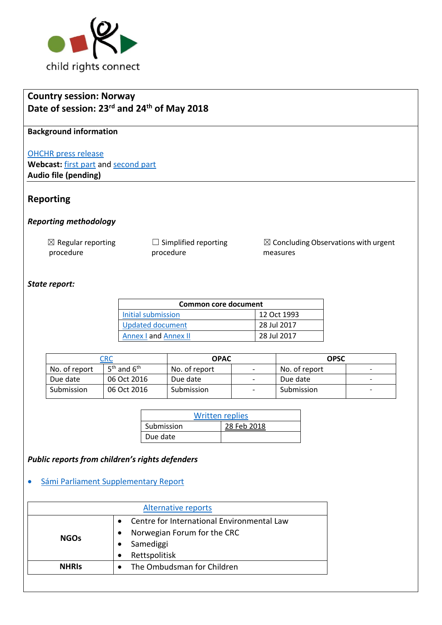

# **Country session: Norway Date of session: 23rd and 24th of May 2018**

### **Background information**

#### [OHCHR press release](https://www.unog.ch/unog/website/news_media.nsf/(httpNewsByYear_en)/7281A0DA9DA8D235C12582970049B3C4?OpenDocument)

Webcast: [first part](http://webtv.un.org/meetings-events/human-rights-treaty-bodies/committee-on-the-rights-of-the-child/watch/consideration-of-norway-2296th-meeting-78th-session-committee-on-the-rights-of-the-child/5789051499001) an[d second part](http://webtv.un.org/meetings-events/human-rights-treaty-bodies/committee-on-the-rights-of-the-child/watch/consideration-of-norway-contd-2297th-meeting-78th-session-committee-on-the-rights-of-the-child/5789644480001) **Audio file (pending)**

## **Reporting**

### *Reporting methodology*

| $\boxtimes$ Regular reporting | $\Box$ Simplified reporting |
|-------------------------------|-----------------------------|
| procedure                     | procedure                   |

 $\boxtimes$  Concluding Observations with urgent measures

### *State report:*

| <b>Common core document</b> |             |  |
|-----------------------------|-------------|--|
| Initial submission          | 12 Oct 1993 |  |
| Updated document            | 28 Jul 2017 |  |
| <b>Annex I and Annex II</b> | 28 Jul 2017 |  |

|               | CRC             | <b>OPAC</b>   |                          | OPSC          |                          |
|---------------|-----------------|---------------|--------------------------|---------------|--------------------------|
| No. of report | $5th$ and $6th$ | No. of report | $\overline{\phantom{a}}$ | No. of report | $\overline{\phantom{0}}$ |
| Due date      | 06 Oct 2016     | Due date      | $\overline{\phantom{a}}$ | Due date      |                          |
| Submission    | 06 Oct 2016     | Submission    | $\qquad \qquad -$        | Submission    | $\overline{\phantom{0}}$ |

| <b>Written replies</b> |             |
|------------------------|-------------|
| Submission             | 28 Feb 2018 |
| Due date               |             |

## *Public reports from children's rights defenders*

### • [Sámi Parliament Supplementary Report](http://tbinternet.ohchr.org/_layouts/treatybodyexternal/Download.aspx?symbolno=INT%2fCRC%2fIFN%2fNOR%2f28844&Lang=en)

| Alternative reports |                                                                                        |
|---------------------|----------------------------------------------------------------------------------------|
| <b>NGOs</b>         | Centre for International Environmental Law<br>Norwegian Forum for the CRC<br>Samediggi |
| <b>NHRIS</b>        | Rettspolitisk<br>The Ombudsman for Children                                            |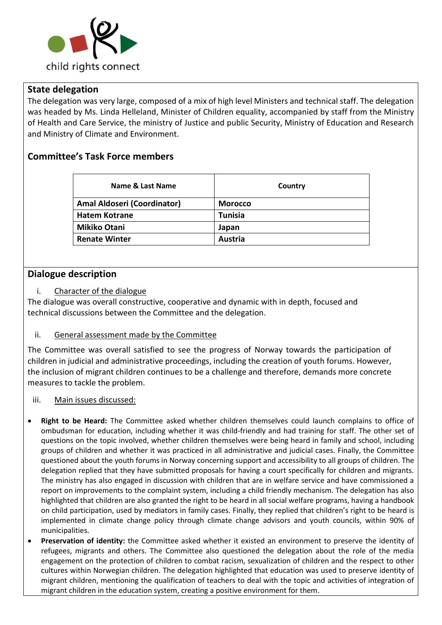

## **State delegation**

The delegation was very large, composed of a mix of high level Ministers and technical staff. The delegation was headed by Ms. Linda Helleland, Minister of Children equality, accompanied by staff from the Ministry of Health and Care Service, the ministry of Justice and public Security, Ministry of Education and Research and Ministry of Climate and Environment.

## **Committee's Task Force members**

| Name & Last Name                   | Country        |
|------------------------------------|----------------|
| <b>Amal Aldoseri (Coordinator)</b> | <b>Morocco</b> |
| <b>Hatem Kotrane</b>               | Tunisia        |
| <b>Mikiko Otani</b>                | Japan          |
| <b>Renate Winter</b>               | Austria        |

## **Dialogue description**

i. Character of the dialogue

The dialogue was overall constructive, cooperative and dynamic with in depth, focused and technical discussions between the Committee and the delegation.

## ii. General assessment made by the Committee

The Committee was overall satisfied to see the progress of Norway towards the participation of children in judicial and administrative proceedings, including the creation of youth forums. However, the inclusion of migrant children continues to be a challenge and therefore, demands more concrete measures to tackle the problem.

### iii. Main issues discussed:

- **Right to be Heard:** The Committee asked whether children themselves could launch complains to office of ombudsman for education, including whether it was child-friendly and had training for staff. The other set of questions on the topic involved, whether children themselves were being heard in family and school, including groups of children and whether it was practiced in all administrative and judicial cases. Finally, the Committee questioned about the youth forums in Norway concerning support and accessibility to all groups of children. The delegation replied that they have submitted proposals for having a court specifically for children and migrants. The ministry has also engaged in discussion with children that are in welfare service and have commissioned a report on improvements to the complaint system, including a child friendly mechanism. The delegation has also highlighted that children are also granted the right to be heard in all social welfare programs, having a handbook on child participation, used by mediators in family cases. Finally, they replied that children's right to be heard is implemented in climate change policy through climate change advisors and youth councils, within 90% of municipalities.
- **Preservation of identity:** the Committee asked whether it existed an environment to preserve the identity of refugees, migrants and others. The Committee also questioned the delegation about the role of the media engagement on the protection of children to combat racism, sexualization of children and the respect to other cultures within Norwegian children. The delegation highlighted that education was used to preserve identity of migrant children, mentioning the qualification of teachers to deal with the topic and activities of integration of migrant children in the education system, creating a positive environment for them.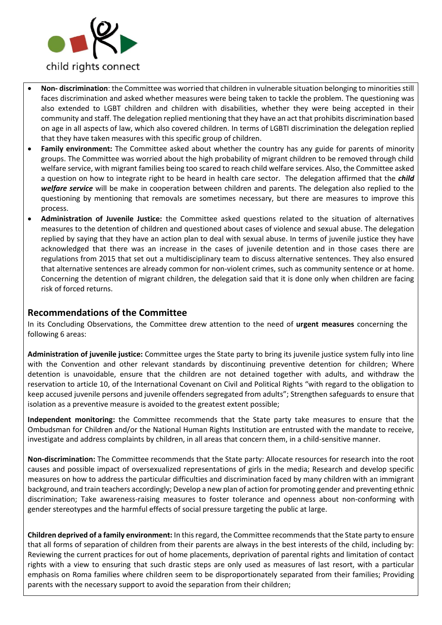

- **Non- discrimination**: the Committee was worried that children in vulnerable situation belonging to minorities still faces discrimination and asked whether measures were being taken to tackle the problem. The questioning was also extended to LGBT children and children with disabilities, whether they were being accepted in their community and staff. The delegation replied mentioning that they have an act that prohibits discrimination based on age in all aspects of law, which also covered children. In terms of LGBTI discrimination the delegation replied that they have taken measures with this specific group of children.
- **Family environment:** The Committee asked about whether the country has any guide for parents of minority groups. The Committee was worried about the high probability of migrant children to be removed through child welfare service, with migrant families being too scared to reach child welfare services. Also, the Committee asked a question on how to integrate right to be heard in health care sector. The delegation affirmed that the *child welfare service* will be make in cooperation between children and parents. The delegation also replied to the questioning by mentioning that removals are sometimes necessary, but there are measures to improve this process.
- **Administration of Juvenile Justice:** the Committee asked questions related to the situation of alternatives measures to the detention of children and questioned about cases of violence and sexual abuse. The delegation replied by saying that they have an action plan to deal with sexual abuse. In terms of juvenile justice they have acknowledged that there was an increase in the cases of juvenile detention and in those cases there are regulations from 2015 that set out a multidisciplinary team to discuss alternative sentences. They also ensured that alternative sentences are already common for non-violent crimes, such as community sentence or at home. Concerning the detention of migrant children, the delegation said that it is done only when children are facing risk of forced returns.

## **Recommendations of the Committee**

In its Concluding Observations, the Committee drew attention to the need of **urgent measures** concerning the following 6 areas:

**Administration of juvenile justice:** Committee urges the State party to bring its juvenile justice system fully into line with the Convention and other relevant standards by discontinuing preventive detention for children; Where detention is unavoidable, ensure that the children are not detained together with adults, and withdraw the reservation to article 10, of the International Covenant on Civil and Political Rights "with regard to the obligation to keep accused juvenile persons and juvenile offenders segregated from adults"; Strengthen safeguards to ensure that isolation as a preventive measure is avoided to the greatest extent possible;

**Independent monitoring:** the Committee recommends that the State party take measures to ensure that the Ombudsman for Children and/or the National Human Rights Institution are entrusted with the mandate to receive, investigate and address complaints by children, in all areas that concern them, in a child-sensitive manner.

**Non-discrimination:** The Committee recommends that the State party: Allocate resources for research into the root causes and possible impact of oversexualized representations of girls in the media; Research and develop specific measures on how to address the particular difficulties and discrimination faced by many children with an immigrant background, and train teachers accordingly; Develop a new plan of action for promoting gender and preventing ethnic discrimination; Take awareness-raising measures to foster tolerance and openness about non-conforming with gender stereotypes and the harmful effects of social pressure targeting the public at large.

**Children deprived of a family environment:** In this regard, the Committee recommends that the State party to ensure that all forms of separation of children from their parents are always in the best interests of the child, including by: Reviewing the current practices for out of home placements, deprivation of parental rights and limitation of contact rights with a view to ensuring that such drastic steps are only used as measures of last resort, with a particular emphasis on Roma families where children seem to be disproportionately separated from their families; Providing parents with the necessary support to avoid the separation from their children;